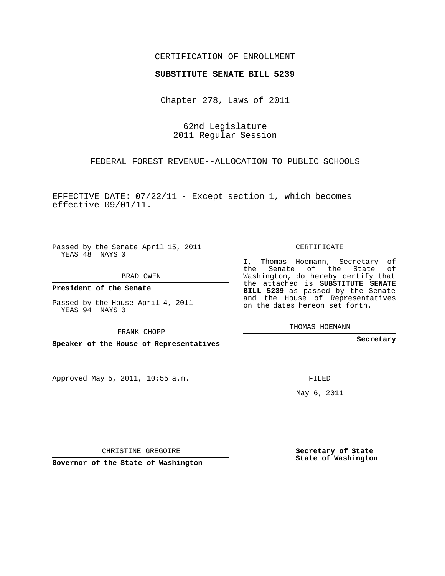## CERTIFICATION OF ENROLLMENT

## **SUBSTITUTE SENATE BILL 5239**

Chapter 278, Laws of 2011

62nd Legislature 2011 Regular Session

FEDERAL FOREST REVENUE--ALLOCATION TO PUBLIC SCHOOLS

EFFECTIVE DATE: 07/22/11 - Except section 1, which becomes effective 09/01/11.

Passed by the Senate April 15, 2011 YEAS 48 NAYS 0

BRAD OWEN

**President of the Senate**

Passed by the House April 4, 2011 YEAS 94 NAYS 0

FRANK CHOPP

**Speaker of the House of Representatives**

Approved May 5, 2011, 10:55 a.m.

CERTIFICATE

I, Thomas Hoemann, Secretary of the Senate of the State of Washington, do hereby certify that the attached is **SUBSTITUTE SENATE BILL 5239** as passed by the Senate and the House of Representatives on the dates hereon set forth.

THOMAS HOEMANN

**Secretary**

FILED

May 6, 2011

**Secretary of State State of Washington**

CHRISTINE GREGOIRE

**Governor of the State of Washington**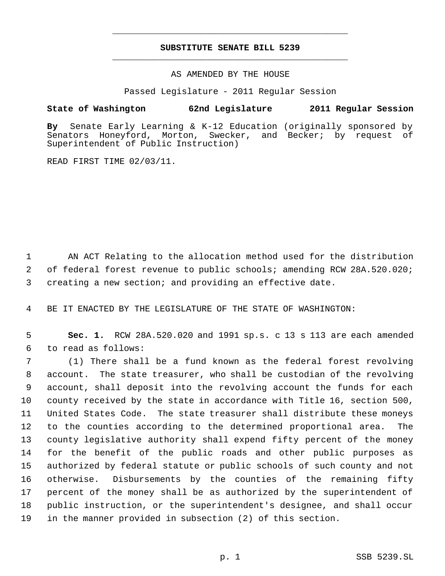## **SUBSTITUTE SENATE BILL 5239** \_\_\_\_\_\_\_\_\_\_\_\_\_\_\_\_\_\_\_\_\_\_\_\_\_\_\_\_\_\_\_\_\_\_\_\_\_\_\_\_\_\_\_\_\_

\_\_\_\_\_\_\_\_\_\_\_\_\_\_\_\_\_\_\_\_\_\_\_\_\_\_\_\_\_\_\_\_\_\_\_\_\_\_\_\_\_\_\_\_\_

AS AMENDED BY THE HOUSE

Passed Legislature - 2011 Regular Session

## **State of Washington 62nd Legislature 2011 Regular Session**

**By** Senate Early Learning & K-12 Education (originally sponsored by Honeyford, Morton, Swecker, and Becker; by request of Superintendent of Public Instruction)

READ FIRST TIME 02/03/11.

 AN ACT Relating to the allocation method used for the distribution of federal forest revenue to public schools; amending RCW 28A.520.020; creating a new section; and providing an effective date.

BE IT ENACTED BY THE LEGISLATURE OF THE STATE OF WASHINGTON:

 **Sec. 1.** RCW 28A.520.020 and 1991 sp.s. c 13 s 113 are each amended to read as follows:

 (1) There shall be a fund known as the federal forest revolving account. The state treasurer, who shall be custodian of the revolving account, shall deposit into the revolving account the funds for each county received by the state in accordance with Title 16, section 500, United States Code. The state treasurer shall distribute these moneys to the counties according to the determined proportional area. The county legislative authority shall expend fifty percent of the money for the benefit of the public roads and other public purposes as authorized by federal statute or public schools of such county and not otherwise. Disbursements by the counties of the remaining fifty percent of the money shall be as authorized by the superintendent of public instruction, or the superintendent's designee, and shall occur in the manner provided in subsection (2) of this section.